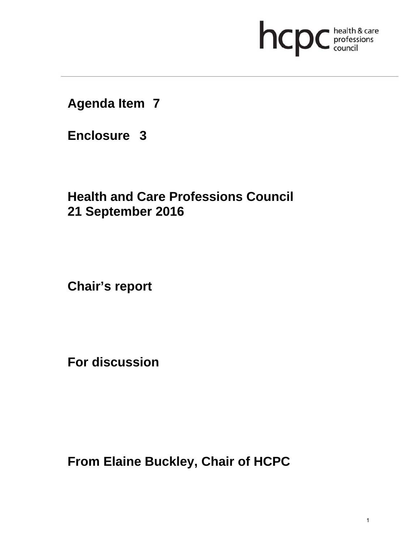# **health & care**

**Agenda Item 7** 

**Enclosure 3**

**Health and Care Professions Council 21 September 2016**

**Chair's report** 

**For discussion** 

**From Elaine Buckley, Chair of HCPC**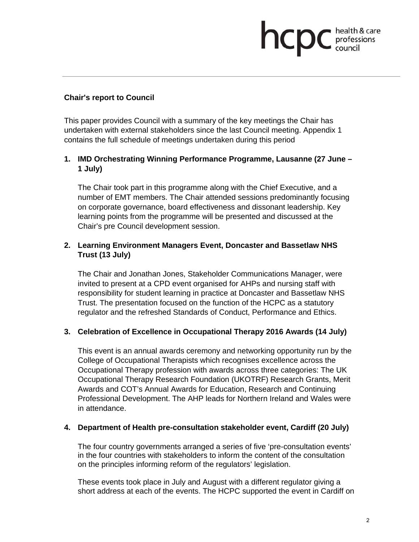# professions<br>council

#### **Chair's report to Council**

This paper provides Council with a summary of the key meetings the Chair has undertaken with external stakeholders since the last Council meeting. Appendix 1 contains the full schedule of meetings undertaken during this period

## **1. IMD Orchestrating Winning Performance Programme, Lausanne (27 June – 1 July)**

The Chair took part in this programme along with the Chief Executive, and a number of EMT members. The Chair attended sessions predominantly focusing on corporate governance, board effectiveness and dissonant leadership. Key learning points from the programme will be presented and discussed at the Chair's pre Council development session.

### **2. Learning Environment Managers Event, Doncaster and Bassetlaw NHS Trust (13 July)**

The Chair and Jonathan Jones, Stakeholder Communications Manager, were invited to present at a CPD event organised for AHPs and nursing staff with responsibility for student learning in practice at Doncaster and Bassetlaw NHS Trust. The presentation focused on the function of the HCPC as a statutory regulator and the refreshed Standards of Conduct, Performance and Ethics.

### **3. Celebration of Excellence in Occupational Therapy 2016 Awards (14 July)**

This event is an annual awards ceremony and networking opportunity run by the College of Occupational Therapists which recognises excellence across the Occupational Therapy profession with awards across three categories: The UK Occupational Therapy Research Foundation (UKOTRF) Research Grants, Merit Awards and COT's Annual Awards for Education, Research and Continuing Professional Development. The AHP leads for Northern Ireland and Wales were in attendance.

#### **4. Department of Health pre-consultation stakeholder event, Cardiff (20 July)**

The four country governments arranged a series of five 'pre-consultation events' in the four countries with stakeholders to inform the content of the consultation on the principles informing reform of the regulators' legislation.

These events took place in July and August with a different regulator giving a short address at each of the events. The HCPC supported the event in Cardiff on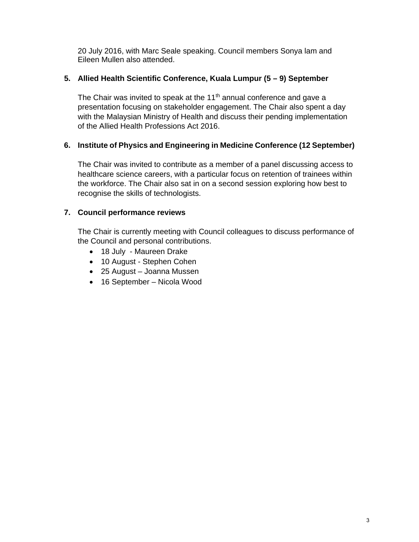20 July 2016, with Marc Seale speaking. Council members Sonya lam and Eileen Mullen also attended.

## **5. Allied Health Scientific Conference, Kuala Lumpur (5 – 9) September**

The Chair was invited to speak at the  $11<sup>th</sup>$  annual conference and gave a presentation focusing on stakeholder engagement. The Chair also spent a day with the Malaysian Ministry of Health and discuss their pending implementation of the Allied Health Professions Act 2016.

## **6. Institute of Physics and Engineering in Medicine Conference (12 September)**

The Chair was invited to contribute as a member of a panel discussing access to healthcare science careers, with a particular focus on retention of trainees within the workforce. The Chair also sat in on a second session exploring how best to recognise the skills of technologists.

## **7. Council performance reviews**

The Chair is currently meeting with Council colleagues to discuss performance of the Council and personal contributions.

- 18 July Maureen Drake
- 10 August Stephen Cohen
- 25 August Joanna Mussen
- 16 September Nicola Wood